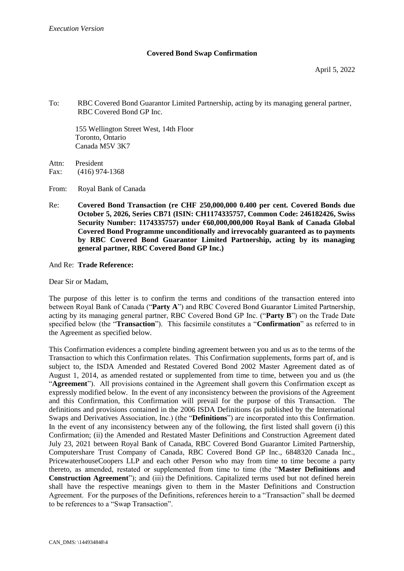### **Covered Bond Swap Confirmation**

To: RBC Covered Bond Guarantor Limited Partnership, acting by its managing general partner, RBC Covered Bond GP Inc.

155 Wellington Street West, 14th Floor Toronto, Ontario Canada M5V 3K7

Attn: President Fax: (416) 974-1368

- From: Royal Bank of Canada
- Re: **Covered Bond Transaction (re CHF 250,000,000 0.400 per cent. Covered Bonds due October 5, 2026, Series CB71 (ISIN: CH1174335757, Common Code: 246182426, Swiss Security Number: 1174335757) under €60,000,000,000 Royal Bank of Canada Global Covered Bond Programme unconditionally and irrevocably guaranteed as to payments by RBC Covered Bond Guarantor Limited Partnership, acting by its managing general partner, RBC Covered Bond GP Inc.)**

#### And Re: **Trade Reference:**

Dear Sir or Madam,

The purpose of this letter is to confirm the terms and conditions of the transaction entered into between Royal Bank of Canada ("**Party A**") and RBC Covered Bond Guarantor Limited Partnership, acting by its managing general partner, RBC Covered Bond GP Inc. ("**Party B**") on the Trade Date specified below (the "**Transaction**"). This facsimile constitutes a "**Confirmation**" as referred to in the Agreement as specified below.

This Confirmation evidences a complete binding agreement between you and us as to the terms of the Transaction to which this Confirmation relates. This Confirmation supplements, forms part of, and is subject to, the ISDA Amended and Restated Covered Bond 2002 Master Agreement dated as of August 1, 2014, as amended restated or supplemented from time to time, between you and us (the "**Agreement**"). All provisions contained in the Agreement shall govern this Confirmation except as expressly modified below. In the event of any inconsistency between the provisions of the Agreement and this Confirmation, this Confirmation will prevail for the purpose of this Transaction. The definitions and provisions contained in the 2006 ISDA Definitions (as published by the International Swaps and Derivatives Association, Inc.) (the "**Definitions**") are incorporated into this Confirmation. In the event of any inconsistency between any of the following, the first listed shall govern (i) this Confirmation; (ii) the Amended and Restated Master Definitions and Construction Agreement dated July 23, 2021 between Royal Bank of Canada, RBC Covered Bond Guarantor Limited Partnership, Computershare Trust Company of Canada, RBC Covered Bond GP Inc., 6848320 Canada Inc., PricewaterhouseCoopers LLP and each other Person who may from time to time become a party thereto, as amended, restated or supplemented from time to time (the "**Master Definitions and Construction Agreement**"); and (iii) the Definitions. Capitalized terms used but not defined herein shall have the respective meanings given to them in the Master Definitions and Construction Agreement. For the purposes of the Definitions, references herein to a "Transaction" shall be deemed to be references to a "Swap Transaction".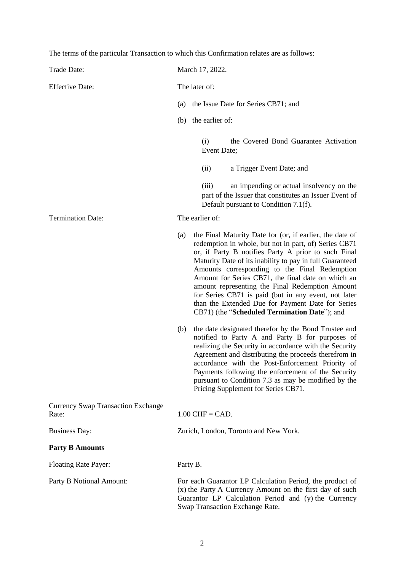The terms of the particular Transaction to which this Confirmation relates are as follows:

| Trade Date:                                        | March 17, 2022.                                                                                                                                                                                                 |                                                                                                                                                                                                                                                                                                                                                                                                                                                                                                                                                                                                                                                                                                                                                                                                                                                                                                                                                                                                   |
|----------------------------------------------------|-----------------------------------------------------------------------------------------------------------------------------------------------------------------------------------------------------------------|---------------------------------------------------------------------------------------------------------------------------------------------------------------------------------------------------------------------------------------------------------------------------------------------------------------------------------------------------------------------------------------------------------------------------------------------------------------------------------------------------------------------------------------------------------------------------------------------------------------------------------------------------------------------------------------------------------------------------------------------------------------------------------------------------------------------------------------------------------------------------------------------------------------------------------------------------------------------------------------------------|
| <b>Effective Date:</b>                             | The later of:                                                                                                                                                                                                   |                                                                                                                                                                                                                                                                                                                                                                                                                                                                                                                                                                                                                                                                                                                                                                                                                                                                                                                                                                                                   |
|                                                    | (a)                                                                                                                                                                                                             | the Issue Date for Series CB71; and                                                                                                                                                                                                                                                                                                                                                                                                                                                                                                                                                                                                                                                                                                                                                                                                                                                                                                                                                               |
|                                                    | (b)                                                                                                                                                                                                             | the earlier of:                                                                                                                                                                                                                                                                                                                                                                                                                                                                                                                                                                                                                                                                                                                                                                                                                                                                                                                                                                                   |
|                                                    |                                                                                                                                                                                                                 | the Covered Bond Guarantee Activation<br>(i)<br>Event Date;                                                                                                                                                                                                                                                                                                                                                                                                                                                                                                                                                                                                                                                                                                                                                                                                                                                                                                                                       |
|                                                    |                                                                                                                                                                                                                 | a Trigger Event Date; and<br>(ii)                                                                                                                                                                                                                                                                                                                                                                                                                                                                                                                                                                                                                                                                                                                                                                                                                                                                                                                                                                 |
|                                                    |                                                                                                                                                                                                                 | an impending or actual insolvency on the<br>(iii)<br>part of the Issuer that constitutes an Issuer Event of<br>Default pursuant to Condition 7.1(f).                                                                                                                                                                                                                                                                                                                                                                                                                                                                                                                                                                                                                                                                                                                                                                                                                                              |
| <b>Termination Date:</b>                           | The earlier of:                                                                                                                                                                                                 |                                                                                                                                                                                                                                                                                                                                                                                                                                                                                                                                                                                                                                                                                                                                                                                                                                                                                                                                                                                                   |
|                                                    | (a)<br>(b)                                                                                                                                                                                                      | the Final Maturity Date for (or, if earlier, the date of<br>redemption in whole, but not in part, of) Series CB71<br>or, if Party B notifies Party A prior to such Final<br>Maturity Date of its inability to pay in full Guaranteed<br>Amounts corresponding to the Final Redemption<br>Amount for Series CB71, the final date on which an<br>amount representing the Final Redemption Amount<br>for Series CB71 is paid (but in any event, not later<br>than the Extended Due for Payment Date for Series<br>CB71) (the "Scheduled Termination Date"); and<br>the date designated therefor by the Bond Trustee and<br>notified to Party A and Party B for purposes of<br>realizing the Security in accordance with the Security<br>Agreement and distributing the proceeds therefrom in<br>accordance with the Post-Enforcement Priority of<br>Payments following the enforcement of the Security<br>pursuant to Condition 7.3 as may be modified by the<br>Pricing Supplement for Series CB71. |
| <b>Currency Swap Transaction Exchange</b><br>Rate: | $1.00$ CHF = CAD.                                                                                                                                                                                               |                                                                                                                                                                                                                                                                                                                                                                                                                                                                                                                                                                                                                                                                                                                                                                                                                                                                                                                                                                                                   |
| <b>Business Day:</b>                               | Zurich, London, Toronto and New York.                                                                                                                                                                           |                                                                                                                                                                                                                                                                                                                                                                                                                                                                                                                                                                                                                                                                                                                                                                                                                                                                                                                                                                                                   |
| <b>Party B Amounts</b>                             |                                                                                                                                                                                                                 |                                                                                                                                                                                                                                                                                                                                                                                                                                                                                                                                                                                                                                                                                                                                                                                                                                                                                                                                                                                                   |
| <b>Floating Rate Payer:</b>                        | Party B.                                                                                                                                                                                                        |                                                                                                                                                                                                                                                                                                                                                                                                                                                                                                                                                                                                                                                                                                                                                                                                                                                                                                                                                                                                   |
| Party B Notional Amount:                           | For each Guarantor LP Calculation Period, the product of<br>(x) the Party A Currency Amount on the first day of such<br>Guarantor LP Calculation Period and (y) the Currency<br>Swap Transaction Exchange Rate. |                                                                                                                                                                                                                                                                                                                                                                                                                                                                                                                                                                                                                                                                                                                                                                                                                                                                                                                                                                                                   |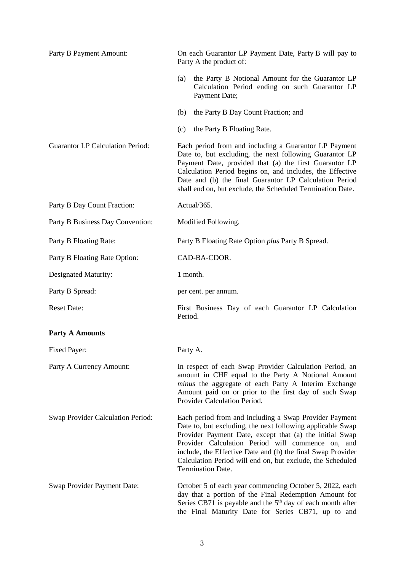| Party B Payment Amount:                 | On each Guarantor LP Payment Date, Party B will pay to<br>Party A the product of:                                                                                                                                                                                                                                                                                                      |
|-----------------------------------------|----------------------------------------------------------------------------------------------------------------------------------------------------------------------------------------------------------------------------------------------------------------------------------------------------------------------------------------------------------------------------------------|
|                                         | the Party B Notional Amount for the Guarantor LP<br>(a)<br>Calculation Period ending on such Guarantor LP<br>Payment Date;                                                                                                                                                                                                                                                             |
|                                         | the Party B Day Count Fraction; and<br>(b)                                                                                                                                                                                                                                                                                                                                             |
|                                         | the Party B Floating Rate.<br>(c)                                                                                                                                                                                                                                                                                                                                                      |
| <b>Guarantor LP Calculation Period:</b> | Each period from and including a Guarantor LP Payment<br>Date to, but excluding, the next following Guarantor LP<br>Payment Date, provided that (a) the first Guarantor LP<br>Calculation Period begins on, and includes, the Effective<br>Date and (b) the final Guarantor LP Calculation Period<br>shall end on, but exclude, the Scheduled Termination Date.                        |
| Party B Day Count Fraction:             | Actual/365.                                                                                                                                                                                                                                                                                                                                                                            |
| Party B Business Day Convention:        | Modified Following.                                                                                                                                                                                                                                                                                                                                                                    |
| Party B Floating Rate:                  | Party B Floating Rate Option <i>plus</i> Party B Spread.                                                                                                                                                                                                                                                                                                                               |
| Party B Floating Rate Option:           | CAD-BA-CDOR.                                                                                                                                                                                                                                                                                                                                                                           |
| Designated Maturity:                    | 1 month.                                                                                                                                                                                                                                                                                                                                                                               |
| Party B Spread:                         | per cent. per annum.                                                                                                                                                                                                                                                                                                                                                                   |
| <b>Reset Date:</b>                      | First Business Day of each Guarantor LP Calculation<br>Period.                                                                                                                                                                                                                                                                                                                         |
| <b>Party A Amounts</b>                  |                                                                                                                                                                                                                                                                                                                                                                                        |
| Fixed Payer:                            | Party A.                                                                                                                                                                                                                                                                                                                                                                               |
| Party A Currency Amount:                | In respect of each Swap Provider Calculation Period, an<br>amount in CHF equal to the Party A Notional Amount<br>minus the aggregate of each Party A Interim Exchange<br>Amount paid on or prior to the first day of such Swap<br>Provider Calculation Period.                                                                                                                         |
| Swap Provider Calculation Period:       | Each period from and including a Swap Provider Payment<br>Date to, but excluding, the next following applicable Swap<br>Provider Payment Date, except that (a) the initial Swap<br>Provider Calculation Period will commence on, and<br>include, the Effective Date and (b) the final Swap Provider<br>Calculation Period will end on, but exclude, the Scheduled<br>Termination Date. |
| Swap Provider Payment Date:             | October 5 of each year commencing October 5, 2022, each<br>day that a portion of the Final Redemption Amount for<br>Series CB71 is payable and the $5th$ day of each month after<br>the Final Maturity Date for Series CB71, up to and                                                                                                                                                 |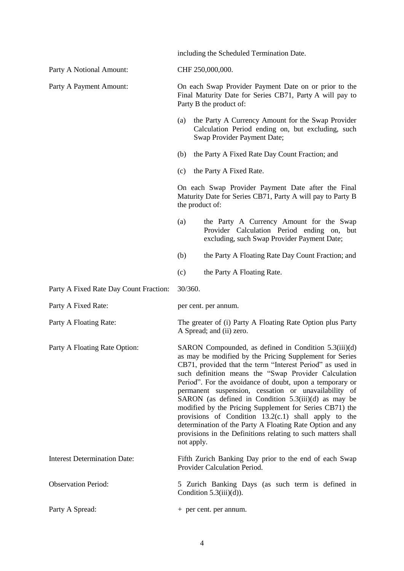including the Scheduled Termination Date.

| Party A Notional Amount:               | CHF 250,000,000.                                                                                                                                                                                                                                                                                                                                                                                                                                                                                                                                                                                                                                                                  |  |
|----------------------------------------|-----------------------------------------------------------------------------------------------------------------------------------------------------------------------------------------------------------------------------------------------------------------------------------------------------------------------------------------------------------------------------------------------------------------------------------------------------------------------------------------------------------------------------------------------------------------------------------------------------------------------------------------------------------------------------------|--|
| Party A Payment Amount:                | On each Swap Provider Payment Date on or prior to the<br>Final Maturity Date for Series CB71, Party A will pay to<br>Party B the product of:                                                                                                                                                                                                                                                                                                                                                                                                                                                                                                                                      |  |
|                                        | the Party A Currency Amount for the Swap Provider<br>(a)<br>Calculation Period ending on, but excluding, such<br>Swap Provider Payment Date;                                                                                                                                                                                                                                                                                                                                                                                                                                                                                                                                      |  |
|                                        | the Party A Fixed Rate Day Count Fraction; and<br>(b)                                                                                                                                                                                                                                                                                                                                                                                                                                                                                                                                                                                                                             |  |
|                                        | the Party A Fixed Rate.<br>(c)                                                                                                                                                                                                                                                                                                                                                                                                                                                                                                                                                                                                                                                    |  |
|                                        | On each Swap Provider Payment Date after the Final<br>Maturity Date for Series CB71, Party A will pay to Party B<br>the product of:                                                                                                                                                                                                                                                                                                                                                                                                                                                                                                                                               |  |
|                                        | (a)<br>the Party A Currency Amount for the Swap<br>Provider Calculation Period ending on, but<br>excluding, such Swap Provider Payment Date;                                                                                                                                                                                                                                                                                                                                                                                                                                                                                                                                      |  |
|                                        | (b)<br>the Party A Floating Rate Day Count Fraction; and                                                                                                                                                                                                                                                                                                                                                                                                                                                                                                                                                                                                                          |  |
|                                        | the Party A Floating Rate.<br>(c)                                                                                                                                                                                                                                                                                                                                                                                                                                                                                                                                                                                                                                                 |  |
| Party A Fixed Rate Day Count Fraction: | 30/360.                                                                                                                                                                                                                                                                                                                                                                                                                                                                                                                                                                                                                                                                           |  |
| Party A Fixed Rate:                    | per cent. per annum.                                                                                                                                                                                                                                                                                                                                                                                                                                                                                                                                                                                                                                                              |  |
| Party A Floating Rate:                 | The greater of (i) Party A Floating Rate Option plus Party<br>A Spread; and (ii) zero.                                                                                                                                                                                                                                                                                                                                                                                                                                                                                                                                                                                            |  |
| Party A Floating Rate Option:          | SARON Compounded, as defined in Condition 5.3(iii)(d)<br>as may be modified by the Pricing Supplement for Series<br>CB71, provided that the term "Interest Period" as used in<br>such definition means the "Swap Provider Calculation<br>Period". For the avoidance of doubt, upon a temporary or<br>permanent suspension, cessation or unavailability of<br>SARON (as defined in Condition 5.3(iii)(d) as may be<br>modified by the Pricing Supplement for Series CB71) the<br>provisions of Condition $13.2(c.1)$ shall apply to the<br>determination of the Party A Floating Rate Option and any<br>provisions in the Definitions relating to such matters shall<br>not apply. |  |
| <b>Interest Determination Date:</b>    | Fifth Zurich Banking Day prior to the end of each Swap<br>Provider Calculation Period.                                                                                                                                                                                                                                                                                                                                                                                                                                                                                                                                                                                            |  |
| <b>Observation Period:</b>             | 5 Zurich Banking Days (as such term is defined in<br>Condition $5.3(iii)(d)$ ).                                                                                                                                                                                                                                                                                                                                                                                                                                                                                                                                                                                                   |  |
| Party A Spread:                        | + per cent. per annum.                                                                                                                                                                                                                                                                                                                                                                                                                                                                                                                                                                                                                                                            |  |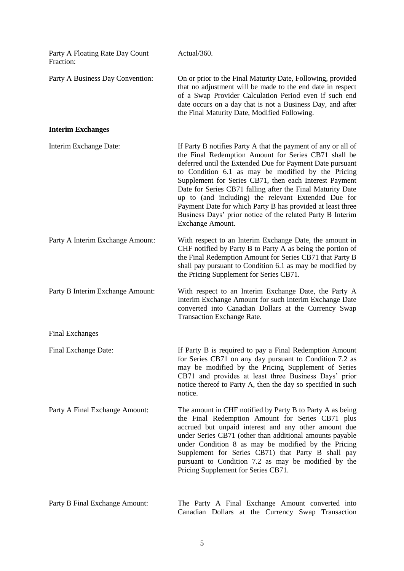| Party A Floating Rate Day Count<br>Fraction: | Actual/360.                                                                                                                                                                                                                                                                                                                                                                                                                                                                                                                                                             |
|----------------------------------------------|-------------------------------------------------------------------------------------------------------------------------------------------------------------------------------------------------------------------------------------------------------------------------------------------------------------------------------------------------------------------------------------------------------------------------------------------------------------------------------------------------------------------------------------------------------------------------|
| Party A Business Day Convention:             | On or prior to the Final Maturity Date, Following, provided<br>that no adjustment will be made to the end date in respect<br>of a Swap Provider Calculation Period even if such end<br>date occurs on a day that is not a Business Day, and after<br>the Final Maturity Date, Modified Following.                                                                                                                                                                                                                                                                       |
| <b>Interim Exchanges</b>                     |                                                                                                                                                                                                                                                                                                                                                                                                                                                                                                                                                                         |
| Interim Exchange Date:                       | If Party B notifies Party A that the payment of any or all of<br>the Final Redemption Amount for Series CB71 shall be<br>deferred until the Extended Due for Payment Date pursuant<br>to Condition 6.1 as may be modified by the Pricing<br>Supplement for Series CB71, then each Interest Payment<br>Date for Series CB71 falling after the Final Maturity Date<br>up to (and including) the relevant Extended Due for<br>Payment Date for which Party B has provided at least three<br>Business Days' prior notice of the related Party B Interim<br>Exchange Amount. |
| Party A Interim Exchange Amount:             | With respect to an Interim Exchange Date, the amount in<br>CHF notified by Party B to Party A as being the portion of<br>the Final Redemption Amount for Series CB71 that Party B<br>shall pay pursuant to Condition 6.1 as may be modified by<br>the Pricing Supplement for Series CB71.                                                                                                                                                                                                                                                                               |
| Party B Interim Exchange Amount:             | With respect to an Interim Exchange Date, the Party A<br>Interim Exchange Amount for such Interim Exchange Date<br>converted into Canadian Dollars at the Currency Swap<br><b>Transaction Exchange Rate.</b>                                                                                                                                                                                                                                                                                                                                                            |
| <b>Final Exchanges</b>                       |                                                                                                                                                                                                                                                                                                                                                                                                                                                                                                                                                                         |
| Final Exchange Date:                         | If Party B is required to pay a Final Redemption Amount<br>for Series CB71 on any day pursuant to Condition 7.2 as<br>may be modified by the Pricing Supplement of Series<br>CB71 and provides at least three Business Days' prior<br>notice thereof to Party A, then the day so specified in such<br>notice.                                                                                                                                                                                                                                                           |
| Party A Final Exchange Amount:               | The amount in CHF notified by Party B to Party A as being<br>the Final Redemption Amount for Series CB71 plus<br>accrued but unpaid interest and any other amount due<br>under Series CB71 (other than additional amounts payable<br>under Condition 8 as may be modified by the Pricing<br>Supplement for Series CB71) that Party B shall pay<br>pursuant to Condition 7.2 as may be modified by the<br>Pricing Supplement for Series CB71.                                                                                                                            |
| Party B Final Exchange Amount:               | The Party A Final Exchange Amount converted into<br>Canadian Dollars at the Currency Swap Transaction                                                                                                                                                                                                                                                                                                                                                                                                                                                                   |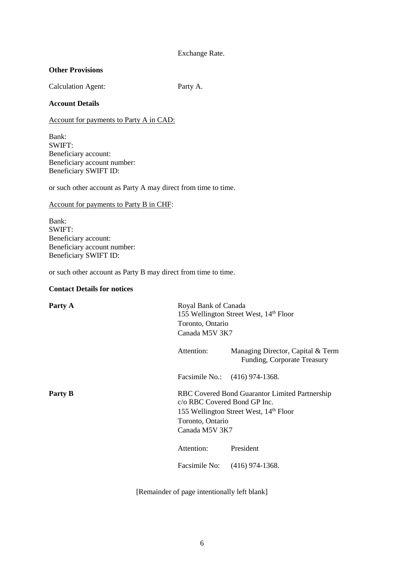# Exchange Rate.

### **Other Provisions**

Calculation Agent: Party A.

### **Account Details**

Account for payments to Party A in CAD:

Bank: SWIFT: Beneficiary account: Beneficiary account number: Beneficiary SWIFT ID:

or such other account as Party A may direct from time to time.

Account for payments to Party B in CHF:

Bank: SWIFT: Beneficiary account: Beneficiary account number: Beneficiary SWIFT ID:

or such other account as Party B may direct from time to time.

## **Contact Details for notices**

| Party A | Toronto, Ontario                                                   | Royal Bank of Canada<br>155 Wellington Street West, 14th Floor<br>Canada M5V 3K7                     |  |
|---------|--------------------------------------------------------------------|------------------------------------------------------------------------------------------------------|--|
|         | Attention:                                                         | Managing Director, Capital & Term<br>Funding, Corporate Treasury                                     |  |
|         | Facsimile No.: (416) 974-1368.                                     |                                                                                                      |  |
| Party B | c/o RBC Covered Bond GP Inc.<br>Toronto, Ontario<br>Canada M5V 3K7 | RBC Covered Bond Guarantor Limited Partnership<br>155 Wellington Street West, 14 <sup>th</sup> Floor |  |
|         | Attention:                                                         | President                                                                                            |  |
|         | Facsimile No:                                                      | $(416)$ 974-1368.                                                                                    |  |
|         |                                                                    |                                                                                                      |  |

[Remainder of page intentionally left blank]